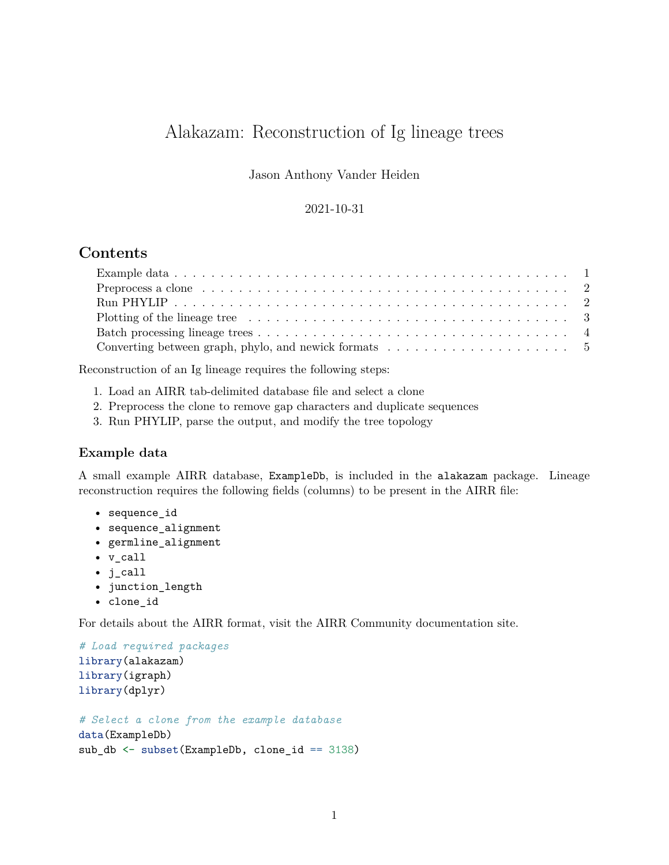# Alakazam: Reconstruction of Ig lineage trees

Jason Anthony Vander Heiden

#### 2021-10-31

## **Contents**

| Plotting of the lineage tree $\dots \dots \dots \dots \dots \dots \dots \dots \dots \dots \dots \dots \dots \dots$ |  |
|--------------------------------------------------------------------------------------------------------------------|--|
|                                                                                                                    |  |
| Converting between graph, phylo, and newick formats $\dots \dots \dots \dots \dots \dots \dots \dots$              |  |

Reconstruction of an Ig lineage requires the following steps:

- 1. Load an AIRR tab-delimited database file and select a clone
- 2. Preprocess the clone to remove gap characters and duplicate sequences
- 3. Run PHYLIP, parse the output, and modify the tree topology

#### <span id="page-0-0"></span>**Example data**

A small example AIRR database, ExampleDb, is included in the alakazam package. Lineage reconstruction requires the following fields (columns) to be present in the AIRR file:

- sequence\_id
- sequence\_alignment
- germline\_alignment
- v\_call
- j\_call
- junction\_length
- clone\_id

For details about the AIRR format, visit the [AIRR Community documentation site.](https://docs.airr-community.org/en/stable/datarep/rearrangements.html)

```
# Load required packages
library(alakazam)
library(igraph)
library(dplyr)
# Select a clone from the example database
```

```
data(ExampleDb)
sub_db <- subset(ExampleDb, clone_id == 3138)
```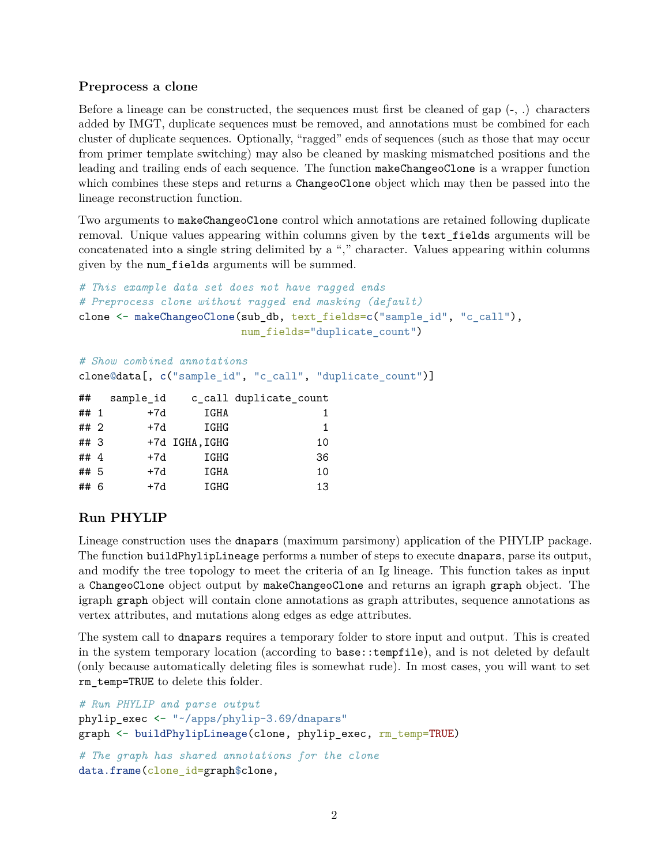#### <span id="page-1-0"></span>**Preprocess a clone**

Before a lineage can be constructed, the sequences must first be cleaned of gap  $(-, .)$  characters added by IMGT, duplicate sequences must be removed, and annotations must be combined for each cluster of duplicate sequences. Optionally, "ragged" ends of sequences (such as those that may occur from primer template switching) may also be cleaned by masking mismatched positions and the leading and trailing ends of each sequence. The function makeChangeoClone is a wrapper function which combines these steps and returns a ChangeoClone object which may then be passed into the lineage reconstruction function.

Two arguments to makeChangeoClone control which annotations are retained following duplicate removal. Unique values appearing within columns given by the text\_fields arguments will be concatenated into a single string delimited by a "," character. Values appearing within columns given by the num\_fields arguments will be summed.

```
# This example data set does not have ragged ends
# Preprocess clone without ragged end masking (default)
clone <- makeChangeoClone(sub_db, text_fields=c("sample_id", "c_call"),
                          num_fields="duplicate_count")
```

```
# Show combined annotations
```
clone@data[, c("sample\_id", "c\_call", "duplicate\_count")]

| sample_id                                          |      | c_call duplicate_count |
|----------------------------------------------------|------|------------------------|
| $+7d$                                              | IGHA | 1.                     |
| $+7d$                                              | IGHG | 1                      |
|                                                    |      | 10                     |
| $+7d$                                              | IGHG | 36                     |
| $+7d$                                              | IGHA | 10                     |
| $+7d$                                              | IGHG | 13                     |
| ## $1$<br>## 2<br>## $3$<br>## 4<br>## 5<br>## $6$ |      | +7d IGHA, IGHG         |

#### <span id="page-1-1"></span>**Run PHYLIP**

Lineage construction uses the dnapars (maximum parsimony) application of the PHYLIP package. The function buildPhylipLineage performs a number of steps to execute dnapars, parse its output, and modify the tree topology to meet the criteria of an Ig lineage. This function takes as input a ChangeoClone object output by makeChangeoClone and returns an igraph graph object. The igraph graph object will contain clone annotations as graph attributes, sequence annotations as vertex attributes, and mutations along edges as edge attributes.

The system call to dnapars requires a temporary folder to store input and output. This is created in the system temporary location (according to base::tempfile), and is not deleted by default (only because automatically deleting files is somewhat rude). In most cases, you will want to set rm\_temp=TRUE to delete this folder.

```
# Run PHYLIP and parse output
phylip_exec <- "~/apps/phylip-3.69/dnapars"
graph <- buildPhylipLineage(clone, phylip_exec, rm_temp=TRUE)
# The graph has shared annotations for the clone
data.frame(clone_id=graph$clone,
```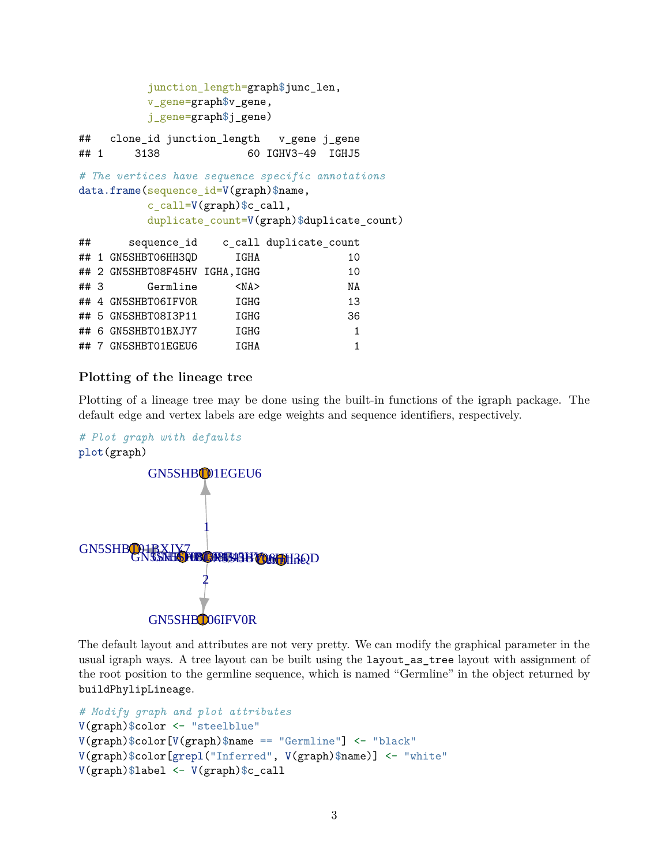```
junction_length=graph$junc_len,
        v_gene=graph$v_gene,
        j_gene=graph$j_gene)
## clone_id junction_length v_gene j_gene
## 1 3138 60 IGHV3-49 IGHJ5
# The vertices have sequence specific annotations
data.frame(sequence_id=V(graph)$name,
        c_call=V(graph)$c_call,
        duplicate_count=V(graph)$duplicate_count)
## sequence id c call duplicate count
## 1 GN5SHBT06HH3QD IGHA 10
## 2 GN5SHBT08F45HV IGHA, IGHG 10
## 3 Germline <NA> NA
## 4 GN5SHBT06IFV0R IGHG 13
## 5 GN5SHBT08I3P11 IGHG 36
## 6 GN5SHBT01BXJY7 IGHG 1
## 7 GN5SHBT01EGEU6 IGHA 1
```
## <span id="page-2-0"></span>**Plotting of the lineage tree**

Plotting of a lineage tree may be done using the built-in functions of the igraph package. The default edge and vertex labels are edge weights and sequence identifiers, respectively.



The default layout and attributes are not very pretty. We can modify the graphical parameter in the usual igraph ways. A tree layout can be built using the layout\_as\_tree layout with assignment of the root position to the germline sequence, which is named "Germline" in the object returned by buildPhylipLineage.

```
# Modify graph and plot attributes
V(graph)$color <- "steelblue"
V(\text{graph})$color[V(\text{graph})$name == "Germline"] <- "black"
V(graph)$color[grepl("Inferred", V(graph)$name)] <- "white"
V(graph)$label <- V(graph)$c_call
```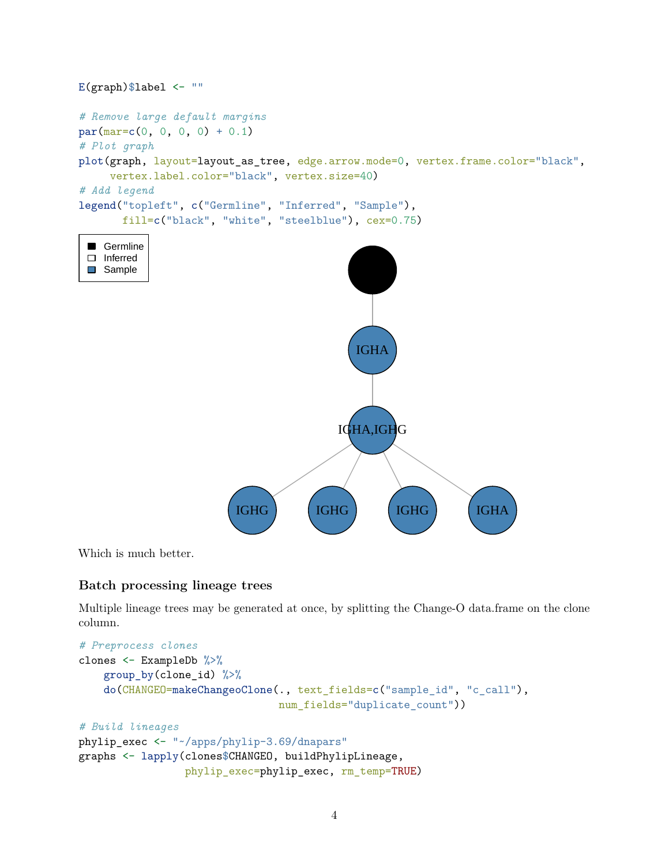

Which is much better.

## <span id="page-3-0"></span>**Batch processing lineage trees**

Multiple lineage trees may be generated at once, by splitting the Change-O data.frame on the clone column.

```
# Preprocess clones
clones <- ExampleDb %>%
    group_by(clone_id) %>%
   do(CHANGEO=makeChangeoClone(., text_fields=c("sample_id", "c_call"),
                                num_fields="duplicate_count"))
# Build lineages
phylip_exec <- "~/apps/phylip-3.69/dnapars"
graphs <- lapply(clones$CHANGEO, buildPhylipLineage,
                 phylip_exec=phylip_exec, rm_temp=TRUE)
```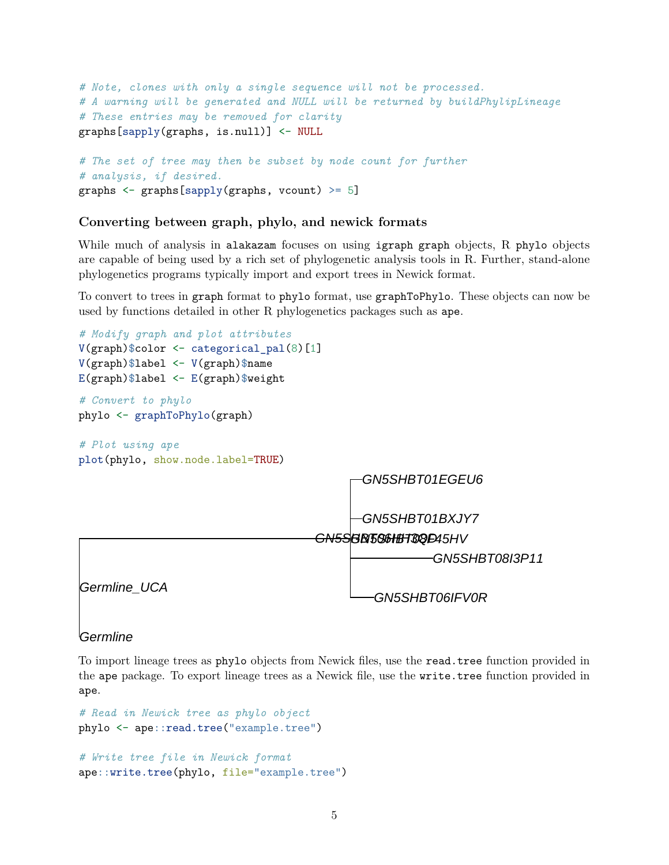```
# Note, clones with only a single sequence will not be processed.
# A warning will be generated and NULL will be returned by buildPhylipLineage
# These entries may be removed for clarity
graphs[sapply(graphs, is.null)] <- NULL
```

```
# The set of tree may then be subset by node count for further
# analysis, if desired.
graphs \leq graphs[sapply(graphs, vcount) \geq 5]
```
### <span id="page-4-0"></span>**Converting between graph, phylo, and newick formats**

While much of analysis in alakazam focuses on using igraph graph objects, R phylo objects are capable of being used by a rich set of phylogenetic analysis tools in R. Further, stand-alone phylogenetics programs typically import and export trees in Newick format.

To convert to trees in graph format to phylo format, use graphToPhylo. These objects can now be used by functions detailed in other R phylogenetics packages such as ape.



#### Germline

To import lineage trees as phylo objects from Newick files, use the read.tree function provided in the ape package. To export lineage trees as a Newick file, use the write.tree function provided in ape.

```
# Read in Newick tree as phylo object
phylo <- ape::read.tree("example.tree")
```

```
# Write tree file in Newick format
ape::write.tree(phylo, file="example.tree")
```